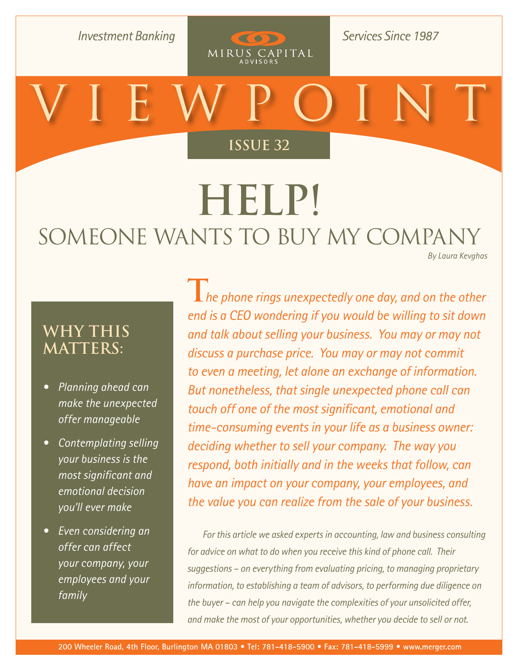**Investment Banking** 

**Services Since 1987** 

**[Issue 26](http://www.merger.com/research/?section=viewpoint) Issue 32**

COD

MIRUS CAPITAL

# **Help!**  SOMEONE WANTS TO BUY MY COMPANY *[By Laura Kevghas](mailto:kevghas@merger.com)*

**Why This Matters:**

- *• Planning ahead can make the unexpected offer manageable*
- *• Contemplating selling your business is the most significant and emotional decision you'll ever make*
- *• Even considering an offer can affect your company, your employees and your family*

**T***he phone rings unexpectedly one day, and on the other end is a CEO wondering if you would be willing to sit down and talk about selling your business. You may or may not discuss a purchase price. You may or may not commit to even a meeting, let alone an exchange of information. But nonetheless, that single unexpected phone call can touch off one of the most significant, emotional and time-consuming events in your life as a business owner: deciding whether to sell your company. The way you respond, both initially and in the weeks that follow, can have an impact on your company, your employees, and the value you can realize from the sale of your business.* 

*For this article we asked experts in accounting, law and business consulting for advice on what to do when you receive this kind of phone call. Their suggestions – on everything from evaluating pricing, to managing proprietary information, to establishing a team of advisors, to performing due diligence on the buyer – can help you navigate the complexities of your unsolicited offer, and make the most of your opportunities, whether you decide to sell or not.*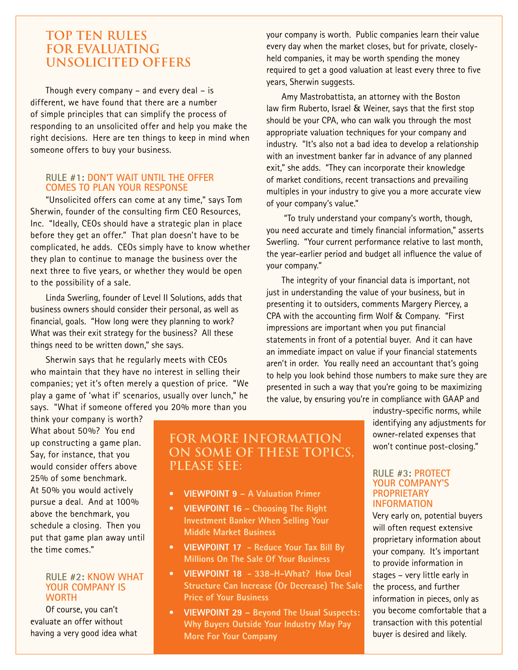### **Top ten rules for evaluating unsolicited offers**

Though every company – and every deal – is different, we have found that there are a number of simple principles that can simplify the process of responding to an unsolicited offer and help you make the right decisions. Here are ten things to keep in mind when someone offers to buy your business.

#### **Rule #1: Don't wait until the offer comes to plan your response**

"Unsolicited offers can come at any time," says Tom Sherwin, founder of the consulting firm CEO Resources, Inc. "Ideally, CEOs should have a strategic plan in place before they get an offer." That plan doesn't have to be complicated, he adds. CEOs simply have to know whether they plan to continue to manage the business over the next three to five years, or whether they would be open to the possibility of a sale.

Linda Swerling, founder of Level II Solutions, adds that business owners should consider their personal, as well as financial, goals. "How long were they planning to work? What was their exit strategy for the business? All these things need to be written down," she says.

Sherwin says that he regularly meets with CEOs who maintain that they have no interest in selling their companies; yet it's often merely a question of price. "We play a game of 'what if' scenarios, usually over lunch," he says. "What if someone offered you 20% more than you

your company is worth. Public companies learn their value every day when the market closes, but for private, closelyheld companies, it may be worth spending the money required to get a good valuation at least every three to five years, Sherwin suggests.

Amy Mastrobattista, an attorney with the Boston law firm Ruberto, Israel & Weiner, says that the first stop should be your CPA, who can walk you through the most appropriate valuation techniques for your company and industry. "It's also not a bad idea to develop a relationship with an investment banker far in advance of any planned exit," she adds. "They can incorporate their knowledge of market conditions, recent transactions and prevailing multiples in your industry to give you a more accurate view of your company's value."

 "To truly understand your company's worth, though, you need accurate and timely financial information," asserts Swerling. "Your current performance relative to last month, the year-earlier period and budget all influence the value of your company."

The integrity of your financial data is important, not just in understanding the value of your business, but in presenting it to outsiders, comments Margery Piercey, a CPA with the accounting firm Wolf & Company. "First impressions are important when you put financial statements in front of a potential buyer. And it can have an immediate impact on value if your financial statements aren't in order. You really need an accountant that's going to help you look behind those numbers to make sure they are presented in such a way that you're going to be maximizing the value, by ensuring you're in compliance with GAAP and

think your company is worth? What about 50%? You end up constructing a game plan. Say, for instance, that you would consider offers above 25% of some benchmark. At 50% you would actively pursue a deal. And at 100% above the benchmark, you schedule a closing. Then you put that game plan away until the time comes."

#### **Rule #2: Know what your company is worth**

Of course, you can't evaluate an offer without having a very good idea what

## **For more information on some of these topics, please see:**

- **• Viewpoint 9 – A [Valuation Primer](http://www.merger.com/admin/research/uploads/MirusCapitalAdvisors.May2006VP.pdf)**
- **• Viewpoint 16 – Choosing The Right Investment [Banker When](http://www.merger.com/admin/research/uploads/MCA%20DEC06%20Viewpoint16.pdf) Selling Your Middle Market Business**
- **• Viewpoint 17 - Reduce Your Tax Bill By [Millions On The](http://www.merger.com/admin/research/uploads/MCA%20JAN07%20Viewpoint-17.pdf) Sale Of Your Business**
- **• Viewpoint 18 - [338-H-What? How](http://www.merger.com/admin/research/uploads/MCA%20FEB07%20Viewpoint-18.pdf) Deal Structure Can Increase (Or Decrease) The Sale Price of Your Business**
- **• Viewpoint 29 – Beyond The Usual Suspects: Why [Buyers Outside](http://www.merger.com/admin/research/uploads/Mirus%20Capital%20Advisors_2008_May_VP_Issue%2029.pdf) Your Industry May Pay More For Your Company**

industry-specific norms, while identifying any adjustments for owner-related expenses that won't continue post-closing."

#### **Rule #3: Protect your company's proprietary information**

Very early on, potential buyers will often request extensive proprietary information about your company. It's important to provide information in stages – very little early in the process, and further information in pieces, only as you become comfortable that a transaction with this potential buyer is desired and likely.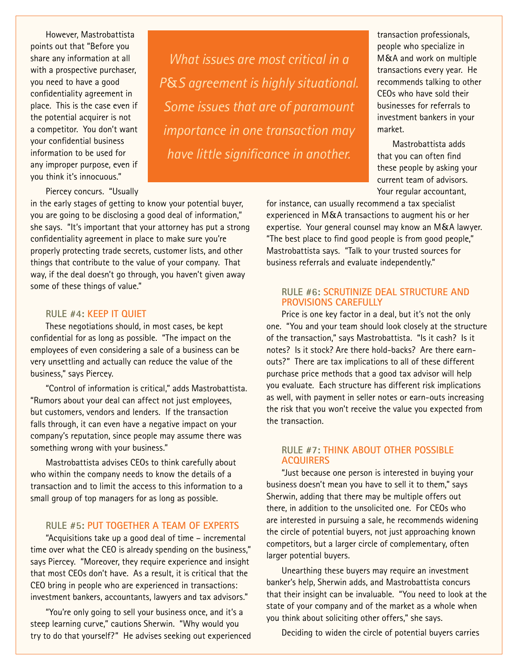However, Mastrobattista points out that "Before you share any information at all with a prospective purchaser, you need to have a good confidentiality agreement in place. This is the case even if the potential acquirer is not a competitor. You don't want your confidential business information to be used for any improper purpose, even if you think it's innocuous."

Piercey concurs. "Usually

in the early stages of getting to know your potential buyer, you are going to be disclosing a good deal of information," she says. "It's important that your attorney has put a strong confidentiality agreement in place to make sure you're properly protecting trade secrets, customer lists, and other things that contribute to the value of your company. That way, if the deal doesn't go through, you haven't given away some of these things of value."

#### **Rule #4: Keep it quiet**

These negotiations should, in most cases, be kept confidential for as long as possible. "The impact on the employees of even considering a sale of a business can be very unsettling and actually can reduce the value of the business," says Piercey.

"Control of information is critical," adds Mastrobattista. "Rumors about your deal can affect not just employees, but customers, vendors and lenders. If the transaction falls through, it can even have a negative impact on your company's reputation, since people may assume there was something wrong with your business."

Mastrobattista advises CEOs to think carefully about who within the company needs to know the details of a transaction and to limit the access to this information to a small group of top managers for as long as possible.

#### **Rule #5: Put together a team of experts**

"Acquisitions take up a good deal of time – incremental time over what the CEO is already spending on the business," says Piercey. "Moreover, they require experience and insight that most CEOs don't have. As a result, it is critical that the CEO bring in people who are experienced in transactions: investment bankers, accountants, lawyers and tax advisors."

"You're only going to sell your business once, and it's a steep learning curve," cautions Sherwin. "Why would you try to do that yourself?" He advises seeking out experienced

*What issues are most critical in a P*&*S agreement is highly situational. Some issues that are of paramount importance in one transaction may have little significance in another.*

transaction professionals, people who specialize in M&A and work on multiple transactions every year. He recommends talking to other CEOs who have sold their businesses for referrals to investment bankers in your market.

Mastrobattista adds that you can often find these people by asking your current team of advisors. Your regular accountant,

for instance, can usually recommend a tax specialist experienced in M&A transactions to augment his or her expertise. Your general counsel may know an M&A lawyer. "The best place to find good people is from good people," Mastrobattista says. "Talk to your trusted sources for business referrals and evaluate independently."

#### **Rule #6: Scrutinize deal structure and provisions carefully**

Price is one key factor in a deal, but it's not the only one. "You and your team should look closely at the structure of the transaction," says Mastrobattista. "Is it cash? Is it notes? Is it stock? Are there hold-backs? Are there earnouts?" There are tax implications to all of these different purchase price methods that a good tax advisor will help you evaluate. Each structure has different risk implications as well, with payment in seller notes or earn-outs increasing the risk that you won't receive the value you expected from the transaction.

#### **Rule #7: Think about other possible acquirers**

"Just because one person is interested in buying your business doesn't mean you have to sell it to them," says Sherwin, adding that there may be multiple offers out there, in addition to the unsolicited one. For CEOs who are interested in pursuing a sale, he recommends widening the circle of potential buyers, not just approaching known competitors, but a larger circle of complementary, often larger potential buyers.

Unearthing these buyers may require an investment banker's help, Sherwin adds, and Mastrobattista concurs that their insight can be invaluable. "You need to look at the state of your company and of the market as a whole when you think about soliciting other offers," she says.

Deciding to widen the circle of potential buyers carries